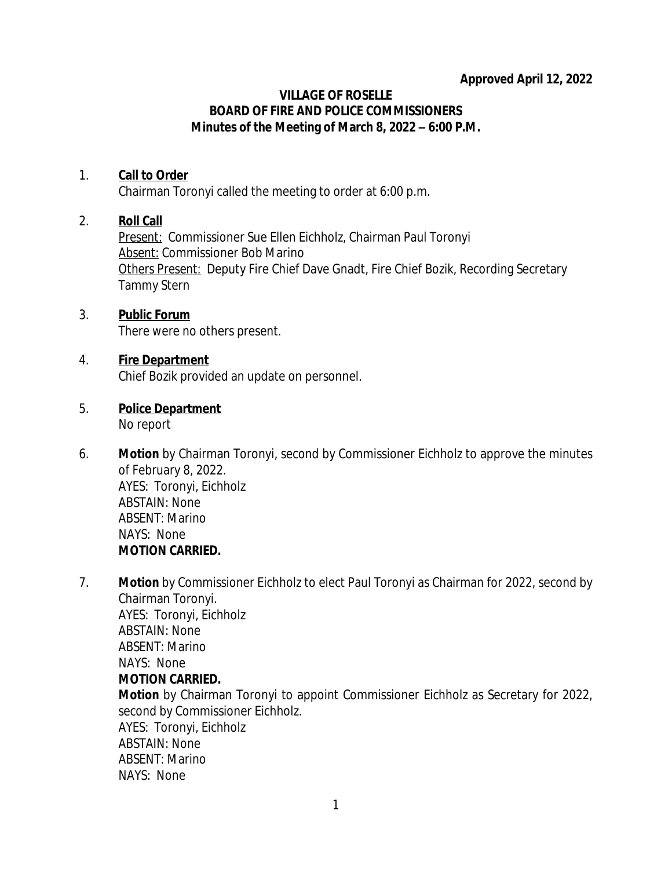### **Approved April 12, 2022**

#### **VILLAGE OF ROSELLE BOARD OF FIRE AND POLICE COMMISSIONERS Minutes of the Meeting of March 8, 2022 – 6:00 P.M.**

### 1. **Call to Order**

Chairman Toronyi called the meeting to order at 6:00 p.m.

### 2. **Roll Call**

*Present:* Commissioner Sue Ellen Eichholz, Chairman Paul Toronyi *Absent:* Commissioner Bob Marino *Others Present:* Deputy Fire Chief Dave Gnadt, Fire Chief Bozik, Recording Secretary Tammy Stern

# 3. **Public Forum**

There were no others present.

### 4. **Fire Department**

Chief Bozik provided an update on personnel.

# 5. **Police Department**

No report

- 6. **Motion** by Chairman Toronyi, second by Commissioner Eichholz to approve the minutes of February 8, 2022. AYES: Toronyi, Eichholz ABSTAIN: None ABSENT: Marino NAYS: None **MOTION CARRIED.**
- 7. **Motion** by Commissioner Eichholz to elect Paul Toronyi as Chairman for 2022, second by Chairman Toronyi. AYES: Toronyi, Eichholz ABSTAIN: None ABSENT: Marino NAYS: None **MOTION CARRIED. Motion** by Chairman Toronyi to appoint Commissioner Eichholz as Secretary for 2022, second by Commissioner Eichholz. AYES: Toronyi, Eichholz ABSTAIN: None ABSENT: Marino NAYS: None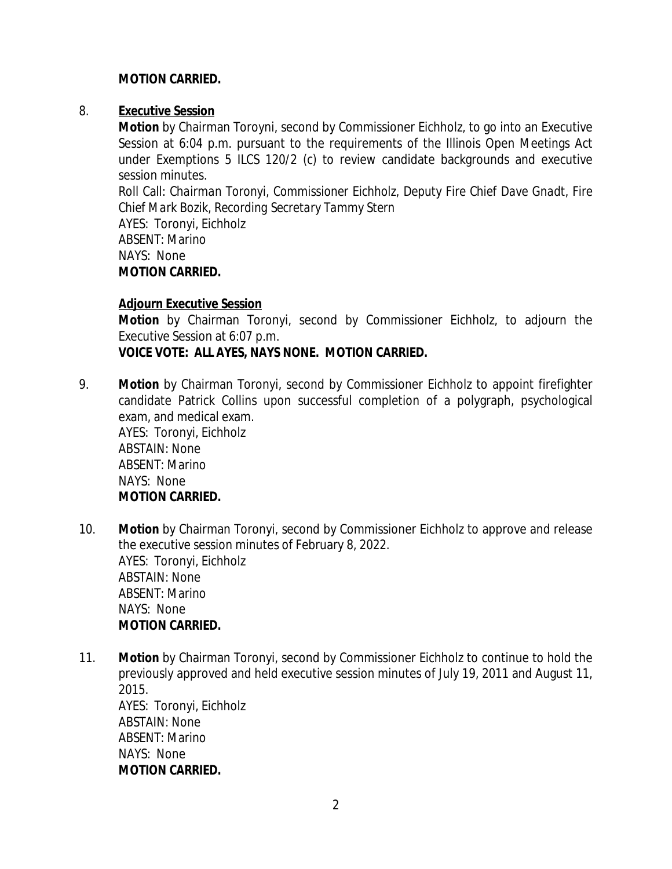### **MOTION CARRIED.**

### 8. **Executive Session**

**Motion** by Chairman Toroyni, second by Commissioner Eichholz, to go into an Executive Session at 6:04 p.m. pursuant to the requirements of the Illinois Open Meetings Act under Exemptions 5 ILCS 120/2 (c) to review candidate backgrounds and executive session minutes.

Roll Call: *Chairman Toronyi, Commissioner Eichholz, Deputy Fire Chief Dave Gnadt, Fire Chief Mark Bozik, Recording Secretary Tammy Stern* AYES: Toronyi, Eichholz

ABSENT: Marino NAYS: None **MOTION CARRIED.**

### **Adjourn Executive Session**

**Motion** by Chairman Toronyi, second by Commissioner Eichholz, to adjourn the Executive Session at 6:07 p.m.

### **VOICE VOTE: ALL AYES, NAYS NONE. MOTION CARRIED.**

- 9. **Motion** by Chairman Toronyi, second by Commissioner Eichholz to appoint firefighter candidate Patrick Collins upon successful completion of a polygraph, psychological exam, and medical exam. AYES: Toronyi, Eichholz ABSTAIN: None ABSENT: Marino NAYS: None **MOTION CARRIED.**
- 10. **Motion** by Chairman Toronyi, second by Commissioner Eichholz to approve and release the executive session minutes of February 8, 2022. AYES: Toronyi, Eichholz ABSTAIN: None ABSENT: Marino NAYS: None **MOTION CARRIED.**
- 11. **Motion** by Chairman Toronyi, second by Commissioner Eichholz to continue to hold the previously approved and held executive session minutes of July 19, 2011 and August 11, 2015. AYES: Toronyi, Eichholz ABSTAIN: None ABSENT: Marino NAYS: None **MOTION CARRIED.**